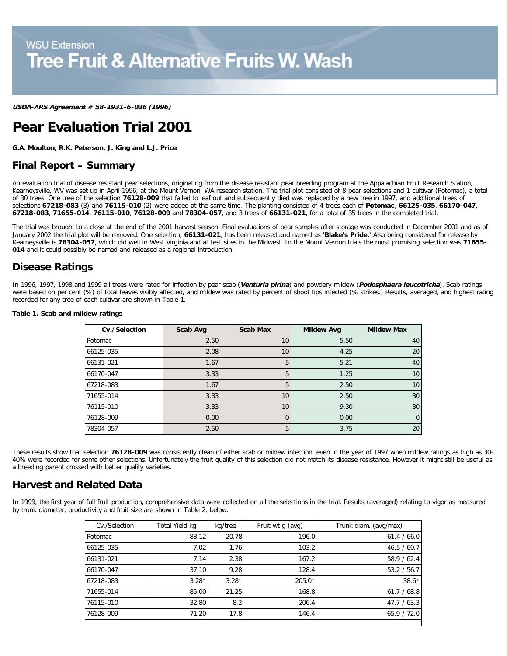**USDA-ARS Agreement # 58-1931-6-036 (1996)**

# **Pear Evaluation Trial 2001**

**G.A. Moulton, R.K. Peterson, J. King and L.J. Price**

## **Final Report – Summary**

An evaluation trial of disease resistant pear selections, originating from the disease resistant pear breeding program at the Appalachian Fruit Research Station, Kearneysville, WV was set up in April 1996, at the Mount Vernon, WA research station. The trial plot consisted of 8 pear selections and 1 cultivar (Potomac), a total of 30 trees. One tree of the selection **76128-009** that failed to leaf out and subsequently died was replaced by a new tree in 1997, and additional trees of selections **67218-083** (3) and **76115-010** (2) were added at the same time. The planting consisted of 4 trees each of **Potomac**, **66125-035**. **66170-047**, **67218-083**, **71655-014**, **76115-010**, **76128-009** and **78304-057**, and 3 trees of **66131-021**, for a total of 35 trees in the completed trial.

The trial was brought to a close at the end of the 2001 harvest season. Final evaluations of pear samples after storage was conducted in December 2001 and as of January 2002 the trial plot will be removed. One selection, **66131-021**, has been released and named as **'Blake's Pride.'** Also being considered for release by Kearneysville is **78304-057**, which did well in West Virginia and at test sites in the Midwest. In the Mount Vernon trials the most promising selection was **71655- 014** and it could possibly be named and released as a regional introduction.

## **Disease Ratings**

In 1996, 1997, 1998 and 1999 all trees were rated for infection by pear scab (**Venturia pirina**) and powdery mildew (**Podosphaera leucotricha**). Scab ratings were based on per cent (%) of total leaves visibly affected, and mildew was rated by percent of shoot tips infected (% strikes.) Results, averaged, and highest rating recorded for any tree of each cultivar are shown in Table 1.

| Cv./Selection | Scab Avg | <b>Scab Max</b> | <b>Mildew Avg</b> | <b>Mildew Max</b> |
|---------------|----------|-----------------|-------------------|-------------------|
| Potomac       | 2.50     | 10              | 5.50              | 40                |
| 66125-035     | 2.08     | 10              | 4.25              | 20                |
| 66131-021     | 1.67     | 5               | 5.21              | 40                |
| 66170-047     | 3.33     | 5               | 1.25              | 10                |
| 67218-083     | 1.67     | 5               | 2.50              | 10                |
| 71655-014     | 3.33     | 10              | 2.50              | 30                |
| 76115-010     | 3.33     | 10              | 9.30              | 30                |
| 76128-009     | 0.00     | $\Omega$        | 0.00              | $\Omega$          |
| 78304-057     | 2.50     | 5               | 3.75              | 20                |

#### **Table 1. Scab and mildew ratings**

These results show that selection **76128-009** was consistently clean of either scab or mildew infection, even in the year of 1997 when mildew ratings as high as 30- 40% were recorded for some other selections. Unfortunately the fruit quality of this selection did not match its disease resistance. However it might still be useful as a breeding parent crossed with better quality varieties.

## **Harvest and Related Data**

In 1999, the first year of full fruit production, comprehensive data were collected on all the selections in the trial. Results (averaged) relating to vigor as measured by trunk diameter, productivity and fruit size are shown in Table 2, below.

| Cv./Selection | Total Yield kg | kg/tree | Fruit wt q (avg) | Trunk diam. (avg/max) |
|---------------|----------------|---------|------------------|-----------------------|
| Potomac       | 83.12          | 20.78   | 196.0            | 61.4 / 66.0           |
| 66125-035     | 7.02           | 1.76    | 103.2            | 46.5 / 60.7           |
| 66131-021     | 7.14           | 2.38    | 167.2            | 58.9 / 62.4           |
| 66170-047     | 37.10          | 9.28    | 128.4            | 53.2 / 56.7           |
| 67218-083     | $3.28*$        | $3.28*$ | 205.0*           | $38.6*$               |
| 71655-014     | 85.00          | 21.25   | 168.8            | 61.7 / 68.8           |
| 76115-010     | 32.80          | 8.2     | 206.4            | 47.7 / 63.3           |
| 76128-009     | 71.20          | 17.8    | 146.4            | 65.9/72.0             |
|               |                |         |                  |                       |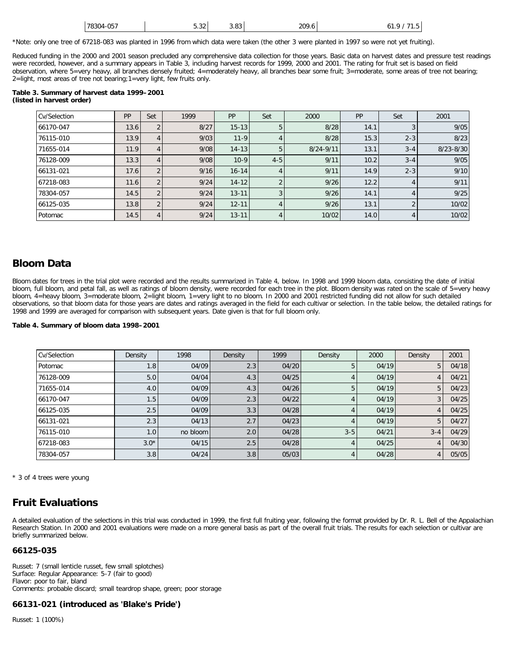| 78304-057 | $F \cap D$<br>3.3Z | 3.83 | 209.6 | 0 I .<br>. |
|-----------|--------------------|------|-------|------------|
|           |                    |      |       |            |

\*Note: only one tree of 67218-083 was planted in 1996 from which data were taken (the other 3 were planted in 1997 so were not yet fruiting).

Reduced funding in the 2000 and 2001 season precluded any comprehensive data collection for those years. Basic data on harvest dates and pressure test readings were recorded, however, and a summary appears in Table 3, including harvest records for 1999, 2000 and 2001. The rating for fruit set is based on field observation, where 5=very heavy, all branches densely fruited; 4=moderately heavy, all branches bear some fruit; 3=moderate, some areas of tree not bearing; 2=light, most areas of tree not bearing;1=very light, few fruits only.

#### **Table 3. Summary of harvest data 1999–2001 (listed in harvest order)**

| Cv/Selection | PP   | Set            | 1999 | PP        | Set     | 2000          | <b>PP</b> | Set     | 2001          |
|--------------|------|----------------|------|-----------|---------|---------------|-----------|---------|---------------|
| 66170-047    | 13.6 |                | 8/27 | $15 - 13$ | 5       | 8/28          | 14.1      |         | 9/05          |
| 76115-010    | 13.9 | 4              | 9/03 | $11 - 9$  | 4       | 8/28          | 15.3      | $2 - 3$ | 8/23          |
| 71655-014    | 11.9 | 4              | 9/08 | $14 - 13$ | 5       | $8/24 - 9/11$ | 13.1      | $3 - 4$ | $8/23 - 8/30$ |
| 76128-009    | 13.3 | 4              | 9/08 | $10-9$    | $4 - 5$ | 9/11          | 10.2      | $3 - 4$ | 9/05          |
| 66131-021    | 17.6 | $\Omega$       | 9/16 | $16 - 14$ | 4       | 9/11          | 14.9      | $2 - 3$ | 9/10          |
| 67218-083    | 11.6 |                | 9/24 | $14 - 12$ | C       | 9/26          | 12.2      | 4       | 9/11          |
| 78304-057    | 14.5 | $\Omega$       | 9/24 | $13 - 11$ | 3       | 9/26          | 14.1      |         | 9/25          |
| 66125-035    | 13.8 | $\overline{2}$ | 9/24 | $12 - 11$ | 4       | 9/26          | 13.1      | ◠       | 10/02         |
| Potomac      | 14.5 | 4              | 9/24 | $13 - 11$ | 4       | 10/02         | 14.0      | 4       | 10/02         |

## **Bloom Data**

Bloom dates for trees in the trial plot were recorded and the results summarized in Table 4, below. In 1998 and 1999 bloom data, consisting the date of initial bloom, full bloom, and petal fall, as well as ratings of bloom density, were recorded for each tree in the plot. Bloom density was rated on the scale of 5=very heavy bloom, 4=heavy bloom, 3=moderate bloom, 2=light bloom, 1=very light to no bloom. In 2000 and 2001 restricted funding did not allow for such detailed observations, so that bloom data for those years are dates and ratings averaged in the field for each cultivar or selection. In the table below, the detailed ratings for 1998 and 1999 are averaged for comparison with subsequent years. Date given is that for full bloom only.

#### **Table 4. Summary of bloom data 1998–2001**

| Cv/Selection | Density | 1998     | Density | 1999  | Density | 2000  | Density | 2001  |
|--------------|---------|----------|---------|-------|---------|-------|---------|-------|
| Potomac      | 1.8     | 04/09    | 2.3     | 04/20 | 5       | 04/19 | 5       | 04/18 |
| 76128-009    | 5.0     | 04/04    | 4.3     | 04/25 |         | 04/19 | 4       | 04/21 |
| 71655-014    | 4.0     | 04/09    | 4.3     | 04/26 | 5       | 04/19 | 5       | 04/23 |
| 66170-047    | 1.5     | 04/09    | 2.3     | 04/22 |         | 04/19 | 3       | 04/25 |
| 66125-035    | 2.5     | 04/09    | 3.3     | 04/28 | 4       | 04/19 | 4       | 04/25 |
| 66131-021    | 2.3     | 04/13    | 2.7     | 04/23 | 4       | 04/19 | 5       | 04/27 |
| 76115-010    | 1.0     | no bloom | 2.0     | 04/28 | $3 - 5$ | 04/21 | $3 - 4$ | 04/29 |
| 67218-083    | $3.0*$  | 04/15    | 2.5     | 04/28 | 4       | 04/25 | 4       | 04/30 |
| 78304-057    | 3.8     | 04/24    | 3.8     | 05/03 | 4       | 04/28 | 4       | 05/05 |

\* 3 of 4 trees were young

# **Fruit Evaluations**

A detailed evaluation of the selections in this trial was conducted in 1999, the first full fruiting year, following the format provided by Dr. R. L. Bell of the Appalachian Research Station. In 2000 and 2001 evaluations were made on a more general basis as part of the overall fruit trials. The results for each selection or cultivar are briefly summarized below.

#### **66125-035**

Russet: 7 (small lenticle russet, few small splotches) Surface: Regular Appearance: 5-7 (fair to good) Flavor: poor to fair, bland Comments: probable discard; small teardrop shape, green; poor storage

## **66131-021 (introduced as 'Blake's Pride')**

Russet: 1 (100%)